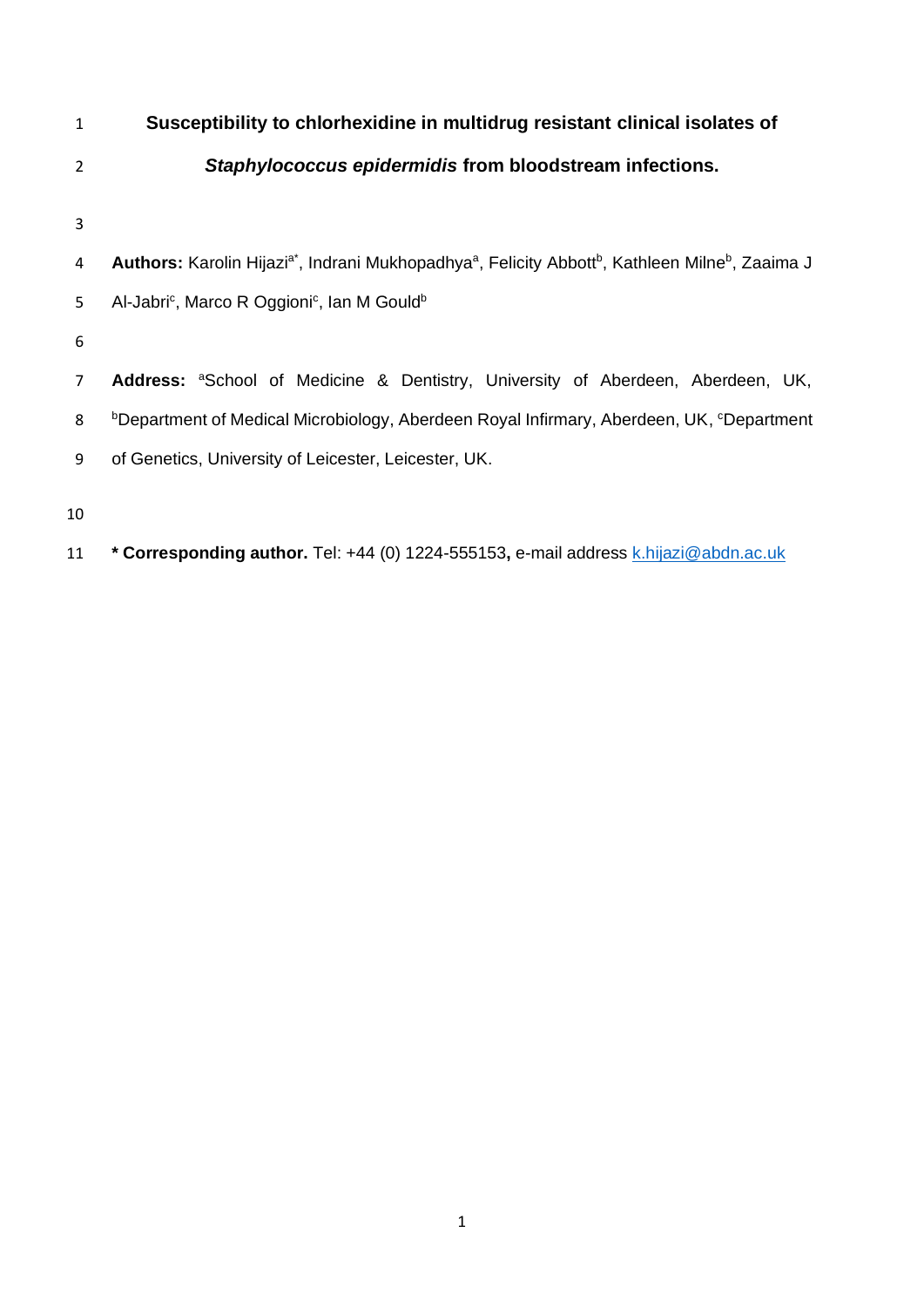| 1  | Susceptibility to chlorhexidine in multidrug resistant clinical isolates of                                                                      |  |  |  |  |  |
|----|--------------------------------------------------------------------------------------------------------------------------------------------------|--|--|--|--|--|
| 2  | Staphylococcus epidermidis from bloodstream infections.                                                                                          |  |  |  |  |  |
| 3  |                                                                                                                                                  |  |  |  |  |  |
| 4  | Authors: Karolin Hijazi <sup>a*</sup> , Indrani Mukhopadhya <sup>a</sup> , Felicity Abbott <sup>b</sup> , Kathleen Milne <sup>b</sup> , Zaaima J |  |  |  |  |  |
| 5  | Al-Jabri <sup>c</sup> , Marco R Oggioni <sup>c</sup> , Ian M Gould <sup>b</sup>                                                                  |  |  |  |  |  |
| 6  |                                                                                                                                                  |  |  |  |  |  |
| 7  | <b>Address:</b> <sup>a</sup> School of Medicine & Dentistry, University of Aberdeen, Aberdeen, UK,                                               |  |  |  |  |  |
| 8  | <sup>b</sup> Department of Medical Microbiology, Aberdeen Royal Infirmary, Aberdeen, UK, <sup>c</sup> Department                                 |  |  |  |  |  |
| 9  | of Genetics, University of Leicester, Leicester, UK.                                                                                             |  |  |  |  |  |
| 10 |                                                                                                                                                  |  |  |  |  |  |

11 **\* Corresponding author.** Tel: +44 (0) 1224-555153, e-mail address [k.hijazi@abdn.ac.uk](mailto:k.hijazi@abdn.ac.uk)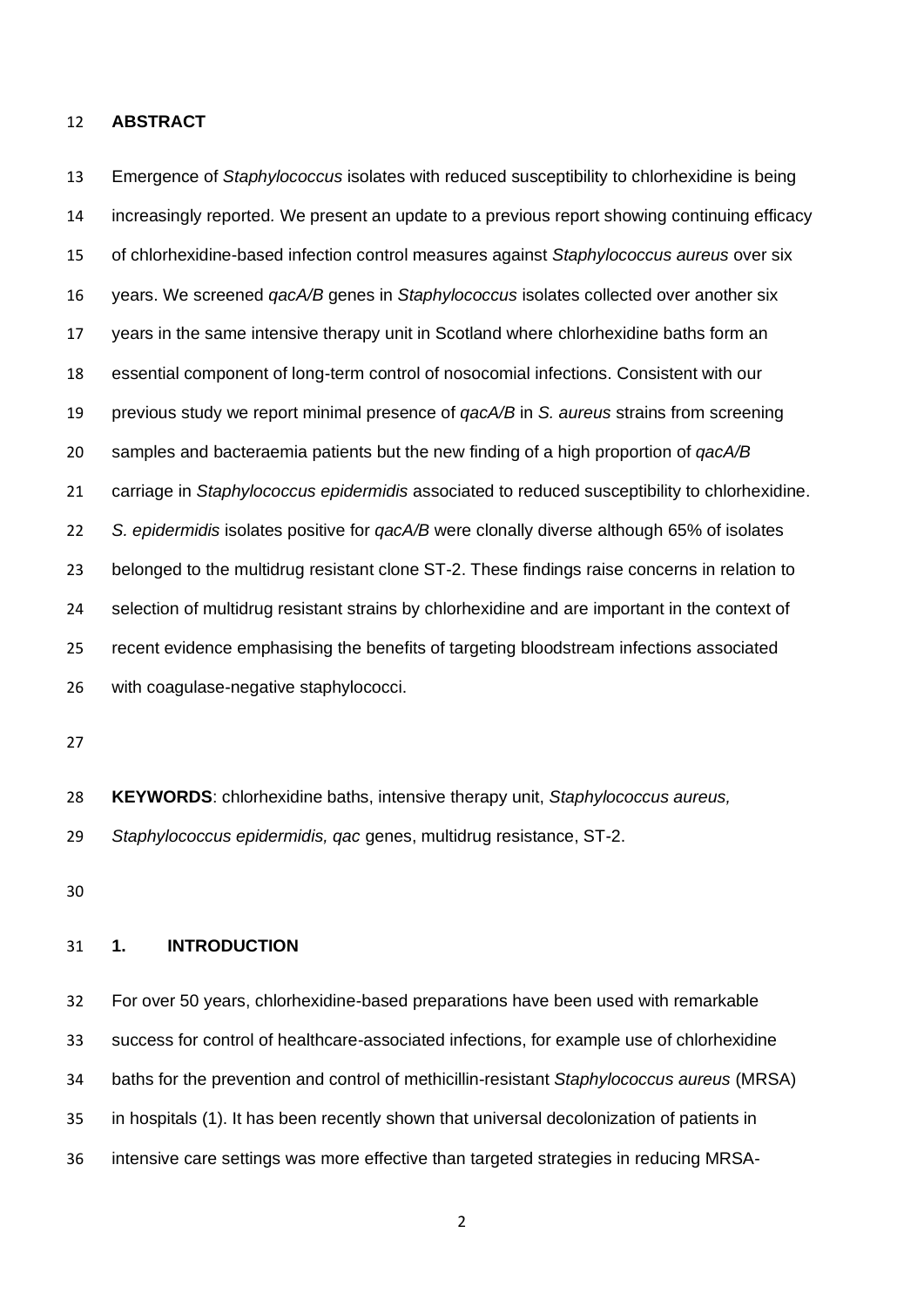#### **ABSTRACT**

 Emergence of *Staphylococcus* isolates with reduced susceptibility to chlorhexidine is being increasingly reported*.* We present an update to a previous report showing continuing efficacy of chlorhexidine-based infection control measures against *Staphylococcus aureus* over six years. We screened *qacA/B* genes in *Staphylococcus* isolates collected over another six years in the same intensive therapy unit in Scotland where chlorhexidine baths form an essential component of long-term control of nosocomial infections. Consistent with our previous study we report minimal presence of *qacA/B* in *S. aureus* strains from screening samples and bacteraemia patients but the new finding of a high proportion of *qacA/B* carriage in *Staphylococcus epidermidis* associated to reduced susceptibility to chlorhexidine. *S. epidermidis* isolates positive for *qacA/B* were clonally diverse although 65% of isolates belonged to the multidrug resistant clone ST-2. These findings raise concerns in relation to selection of multidrug resistant strains by chlorhexidine and are important in the context of recent evidence emphasising the benefits of targeting bloodstream infections associated with coagulase-negative staphylococci.

**KEYWORDS**: chlorhexidine baths, intensive therapy unit, *Staphylococcus aureus,* 

*Staphylococcus epidermidis, qac* genes, multidrug resistance, ST-2.

## **1. INTRODUCTION**

 For over 50 years, chlorhexidine-based preparations have been used with remarkable success for control of healthcare-associated infections, for example use of chlorhexidine baths for the prevention and control of methicillin-resistant *Staphylococcus aureus* (MRSA) in hospitals (1). It has been recently shown that universal decolonization of patients in intensive care settings was more effective than targeted strategies in reducing MRSA-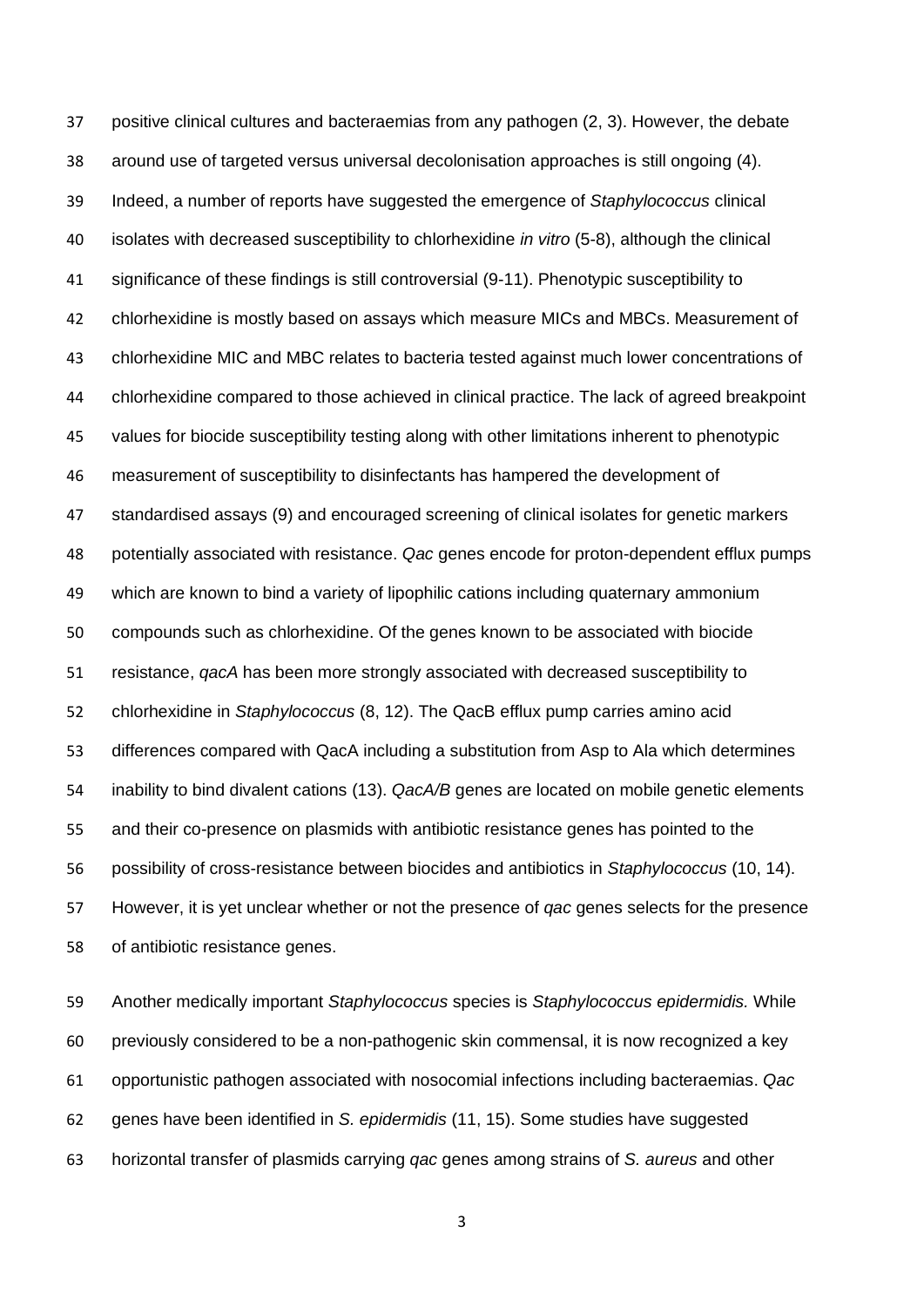positive clinical cultures and bacteraemias from any pathogen (2, 3). However, the debate around use of targeted versus universal decolonisation approaches is still ongoing (4). Indeed, a number of reports have suggested the emergence of *Staphylococcus* clinical isolates with decreased susceptibility to chlorhexidine *in vitro* (5-8), although the clinical 41 significance of these findings is still controversial (9-11). Phenotypic susceptibility to chlorhexidine is mostly based on assays which measure MICs and MBCs. Measurement of chlorhexidine MIC and MBC relates to bacteria tested against much lower concentrations of chlorhexidine compared to those achieved in clinical practice. The lack of agreed breakpoint values for biocide susceptibility testing along with other limitations inherent to phenotypic measurement of susceptibility to disinfectants has hampered the development of standardised assays (9) and encouraged screening of clinical isolates for genetic markers potentially associated with resistance. *Qac* genes encode for proton-dependent efflux pumps which are known to bind a variety of lipophilic cations including quaternary ammonium compounds such as chlorhexidine. Of the genes known to be associated with biocide resistance, *qacA* has been more strongly associated with decreased susceptibility to chlorhexidine in *Staphylococcus* (8, 12). The QacB efflux pump carries amino acid differences compared with QacA including a substitution from Asp to Ala which determines inability to bind divalent cations (13). *QacA/B* genes are located on mobile genetic elements and their co-presence on plasmids with antibiotic resistance genes has pointed to the possibility of cross-resistance between biocides and antibiotics in *Staphylococcus* (10, 14). However, it is yet unclear whether or not the presence of *qac* genes selects for the presence of antibiotic resistance genes.

 Another medically important *Staphylococcus* species is *Staphylococcus epidermidis.* While previously considered to be a non-pathogenic skin commensal, it is now recognized a key opportunistic pathogen associated with nosocomial infections including bacteraemias. *Qac* genes have been identified in *S. epidermidis* (11, 15). Some studies have suggested horizontal transfer of plasmids carrying *qac* genes among strains of *S. aureus* and other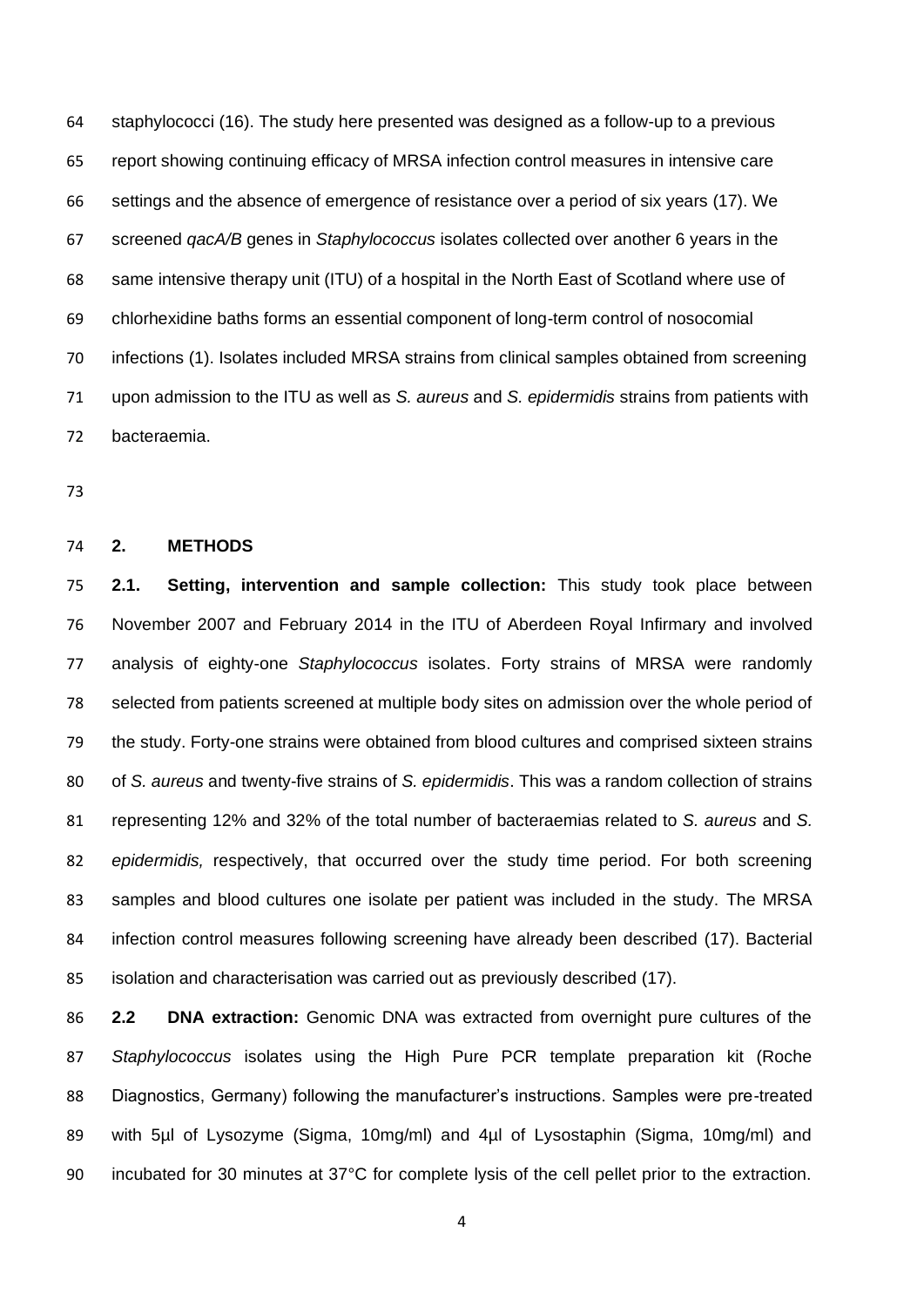staphylococci (16). The study here presented was designed as a follow-up to a previous report showing continuing efficacy of MRSA infection control measures in intensive care settings and the absence of emergence of resistance over a period of six years (17). We screened *qacA/B* genes in *Staphylococcus* isolates collected over another 6 years in the same intensive therapy unit (ITU) of a hospital in the North East of Scotland where use of chlorhexidine baths forms an essential component of long-term control of nosocomial infections (1). Isolates included MRSA strains from clinical samples obtained from screening upon admission to the ITU as well as *S. aureus* and *S. epidermidis* strains from patients with bacteraemia.

### **2. METHODS**

 **2.1. Setting, intervention and sample collection:** This study took place between November 2007 and February 2014 in the ITU of Aberdeen Royal Infirmary and involved analysis of eighty-one *Staphylococcus* isolates. Forty strains of MRSA were randomly selected from patients screened at multiple body sites on admission over the whole period of the study. Forty-one strains were obtained from blood cultures and comprised sixteen strains of *S. aureus* and twenty-five strains of *S. epidermidis*. This was a random collection of strains representing 12% and 32% of the total number of bacteraemias related to *S. aureus* and *S. epidermidis,* respectively, that occurred over the study time period. For both screening samples and blood cultures one isolate per patient was included in the study. The MRSA infection control measures following screening have already been described (17). Bacterial isolation and characterisation was carried out as previously described (17).

 **2.2 DNA extraction:** Genomic DNA was extracted from overnight pure cultures of the *Staphylococcus* isolates using the High Pure PCR template preparation kit (Roche Diagnostics, Germany) following the manufacturer's instructions. Samples were pre-treated 89 with 5µl of Lysozyme (Sigma, 10mg/ml) and 4µl of Lysostaphin (Sigma, 10mg/ml) and incubated for 30 minutes at 37°C for complete lysis of the cell pellet prior to the extraction.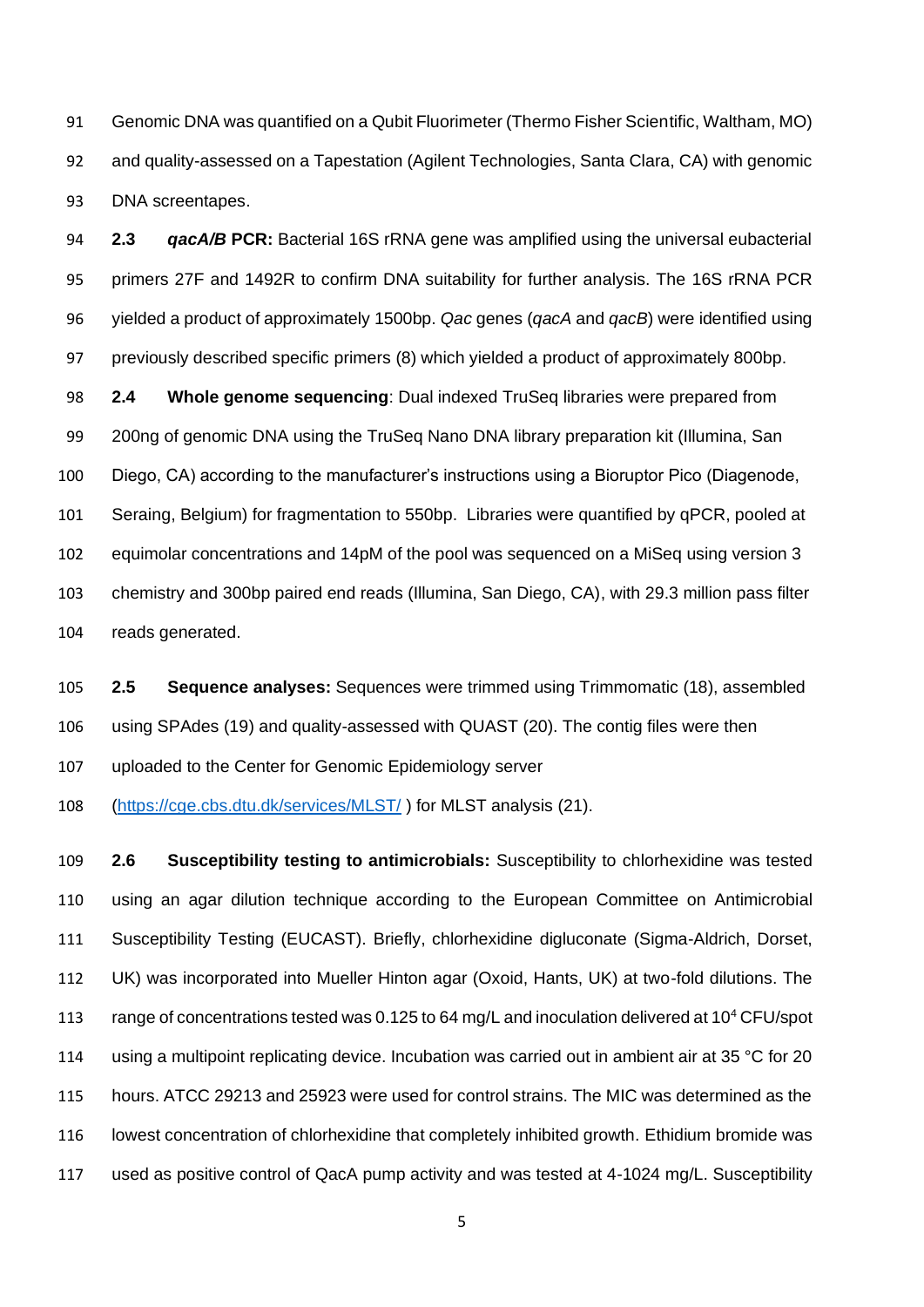Genomic DNA was quantified on a Qubit Fluorimeter (Thermo Fisher Scientific, Waltham, MO) and quality-assessed on a Tapestation (Agilent Technologies, Santa Clara, CA) with genomic DNA screentapes.

 **2.3** *qacA/B* **PCR:** Bacterial 16S rRNA gene was amplified using the universal eubacterial primers 27F and 1492R to confirm DNA suitability for further analysis. The 16S rRNA PCR yielded a product of approximately 1500bp. *Qac* genes (*qacA* and *qacB*) were identified using previously described specific primers (8) which yielded a product of approximately 800bp.

 **2.4 Whole genome sequencing**: Dual indexed TruSeq libraries were prepared from 200ng of genomic DNA using the TruSeq Nano DNA library preparation kit (Illumina, San Diego, CA) according to the manufacturer's instructions using a Bioruptor Pico (Diagenode, Seraing, Belgium) for fragmentation to 550bp. Libraries were quantified by qPCR, pooled at equimolar concentrations and 14pM of the pool was sequenced on a MiSeq using version 3 chemistry and 300bp paired end reads (Illumina, San Diego, CA), with 29.3 million pass filter reads generated.

 **2.5 Sequence analyses:** Sequences were trimmed using Trimmomatic (18), assembled using SPAdes (19) and quality-assessed with QUAST (20). The contig files were then uploaded to the Center for Genomic Epidemiology server

[\(https://cge.cbs.dtu.dk/services/MLST/](https://cge.cbs.dtu.dk/services/MLST/) ) for MLST analysis (21).

 **2.6 Susceptibility testing to antimicrobials:** Susceptibility to chlorhexidine was tested using an agar dilution technique according to the European Committee on Antimicrobial Susceptibility Testing (EUCAST). Briefly, chlorhexidine digluconate (Sigma-Aldrich, Dorset, UK) was incorporated into Mueller Hinton agar (Oxoid, Hants, UK) at two-fold dilutions. The 113 range of concentrations tested was 0.125 to 64 mg/L and inoculation delivered at 10<sup>4</sup> CFU/spot 114 using a multipoint replicating device. Incubation was carried out in ambient air at 35 °C for 20 hours. ATCC 29213 and 25923 were used for control strains. The MIC was determined as the lowest concentration of chlorhexidine that completely inhibited growth. Ethidium bromide was used as positive control of QacA pump activity and was tested at 4-1024 mg/L. Susceptibility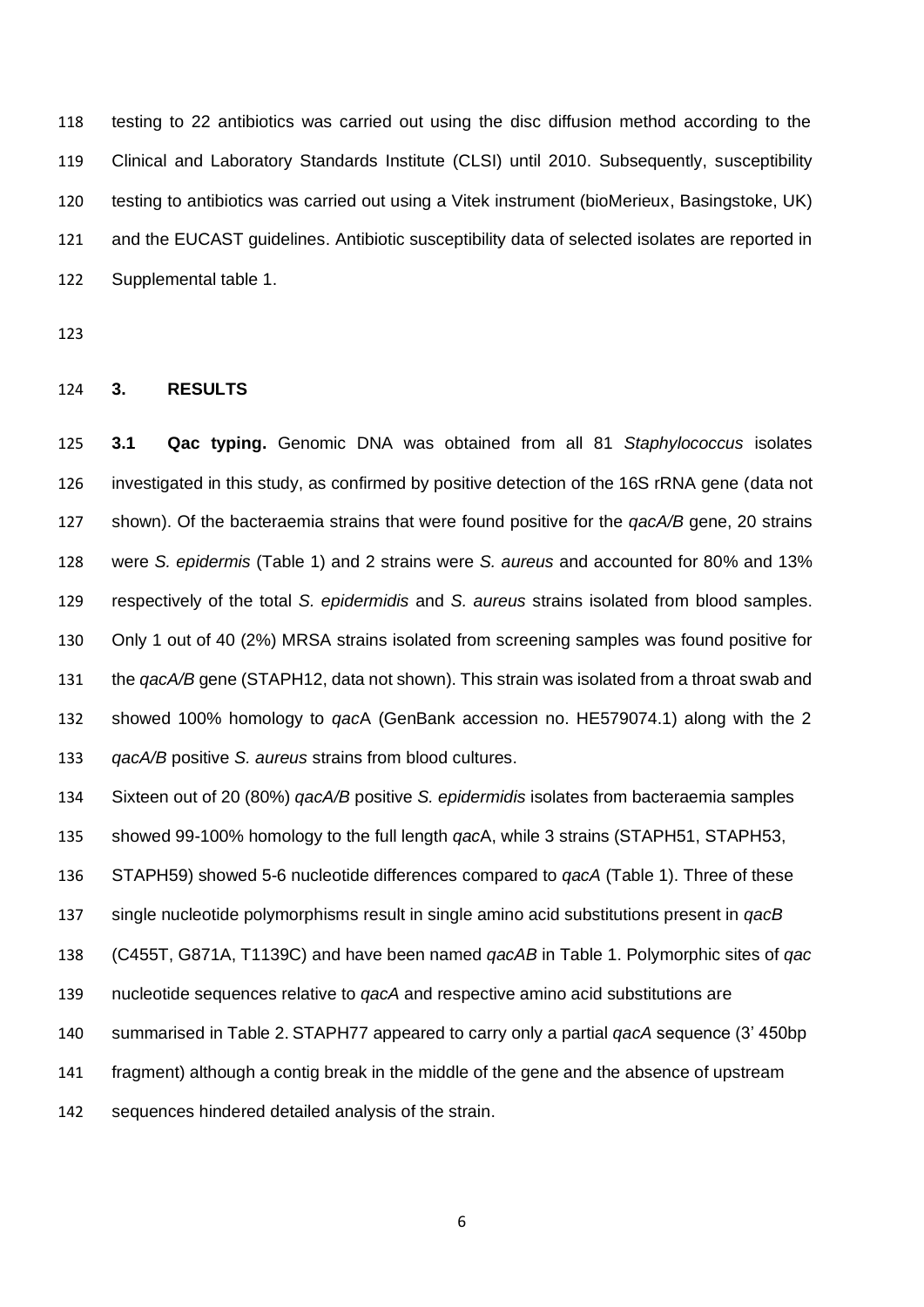testing to 22 antibiotics was carried out using the disc diffusion method according to the Clinical and Laboratory Standards Institute (CLSI) until 2010. Subsequently, susceptibility testing to antibiotics was carried out using a Vitek instrument (bioMerieux, Basingstoke, UK) and the EUCAST guidelines. Antibiotic susceptibility data of selected isolates are reported in Supplemental table 1.

## **3. RESULTS**

 **3.1 Qac typing.** Genomic DNA was obtained from all 81 *Staphylococcus* isolates investigated in this study, as confirmed by positive detection of the 16S rRNA gene (data not shown). Of the bacteraemia strains that were found positive for the *qacA/B* gene, 20 strains were *S. epidermis* (Table 1) and 2 strains were *S. aureus* and accounted for 80% and 13% respectively of the total *S. epidermidis* and *S. aureus* strains isolated from blood samples. Only 1 out of 40 (2%) MRSA strains isolated from screening samples was found positive for the *qacA/B* gene (STAPH12, data not shown). This strain was isolated from a throat swab and showed 100% homology to *qac*A (GenBank accession no. HE579074.1) along with the 2 *qacA/B* positive *S. aureus* strains from blood cultures.

 Sixteen out of 20 (80%) *qacA/B* positive *S. epidermidis* isolates from bacteraemia samples showed 99-100% homology to the full length *qac*A, while 3 strains (STAPH51, STAPH53, STAPH59) showed 5-6 nucleotide differences compared to *qacA* (Table 1). Three of these single nucleotide polymorphisms result in single amino acid substitutions present in *qacB* (C455T, G871A, T1139C) and have been named *qacAB* in Table 1. Polymorphic sites of *qac* nucleotide sequences relative to *qacA* and respective amino acid substitutions are summarised in Table 2. STAPH77 appeared to carry only a partial *qacA* sequence (3' 450bp

fragment) although a contig break in the middle of the gene and the absence of upstream

sequences hindered detailed analysis of the strain.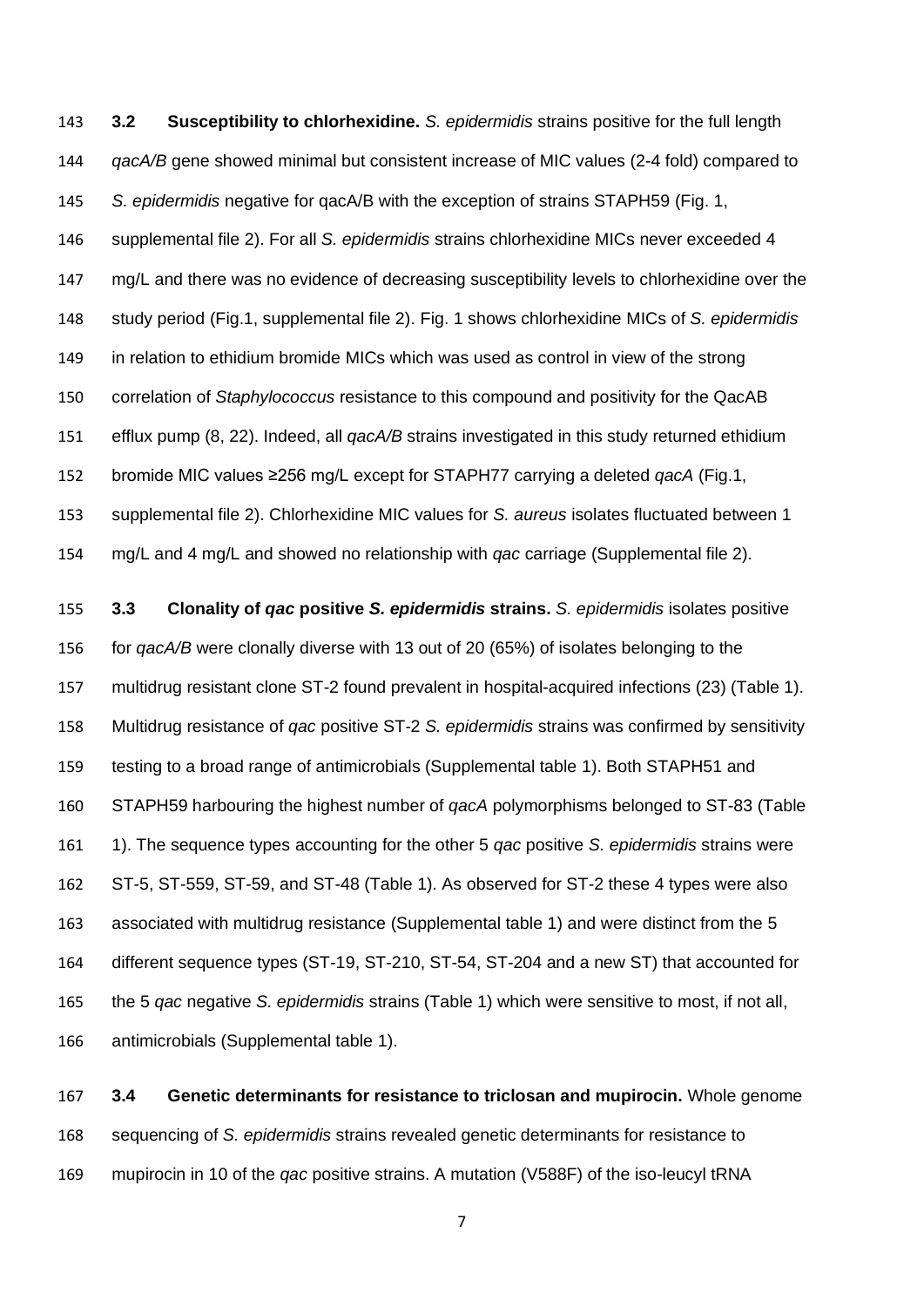**3.2 Susceptibility to chlorhexidine.** *S. epidermidis* strains positive for the full length *qacA/B* gene showed minimal but consistent increase of MIC values (2-4 fold) compared to *S. epidermidis* negative for qacA/B with the exception of strains STAPH59 (Fig. 1, supplemental file 2). For all *S. epidermidis* strains chlorhexidine MICs never exceeded 4 147 mg/L and there was no evidence of decreasing susceptibility levels to chlorhexidine over the study period (Fig.1, supplemental file 2). Fig. 1 shows chlorhexidine MICs of *S. epidermidis* in relation to ethidium bromide MICs which was used as control in view of the strong correlation of *Staphylococcus* resistance to this compound and positivity for the QacAB efflux pump (8, 22). Indeed, all *qacA/B* strains investigated in this study returned ethidium bromide MIC values ≥256 mg/L except for STAPH77 carrying a deleted *qacA* (Fig.1, supplemental file 2). Chlorhexidine MIC values for *S. aureus* isolates fluctuated between 1 mg/L and 4 mg/L and showed no relationship with *qac* carriage (Supplemental file 2).

 **3.3 Clonality of** *qac* **positive** *S. epidermidis* **strains.** *S. epidermidis* isolates positive for *qacA/B* were clonally diverse with 13 out of 20 (65%) of isolates belonging to the multidrug resistant clone ST-2 found prevalent in hospital-acquired infections (23) (Table 1). Multidrug resistance of *qac* positive ST-2 *S. epidermidis* strains was confirmed by sensitivity testing to a broad range of antimicrobials (Supplemental table 1). Both STAPH51 and STAPH59 harbouring the highest number of *qacA* polymorphisms belonged to ST-83 (Table 1). The sequence types accounting for the other 5 *qac* positive *S. epidermidis* strains were ST-5, ST-559, ST-59, and ST-48 (Table 1). As observed for ST-2 these 4 types were also associated with multidrug resistance (Supplemental table 1) and were distinct from the 5 different sequence types (ST-19, ST-210, ST-54, ST-204 and a new ST) that accounted for the 5 *qac* negative *S. epidermidis* strains (Table 1) which were sensitive to most, if not all, antimicrobials (Supplemental table 1).

 **3.4 Genetic determinants for resistance to triclosan and mupirocin.** Whole genome sequencing of *S. epidermidis* strains revealed genetic determinants for resistance to mupirocin in 10 of the *qac* positive strains. A mutation (V588F) of the iso-leucyl tRNA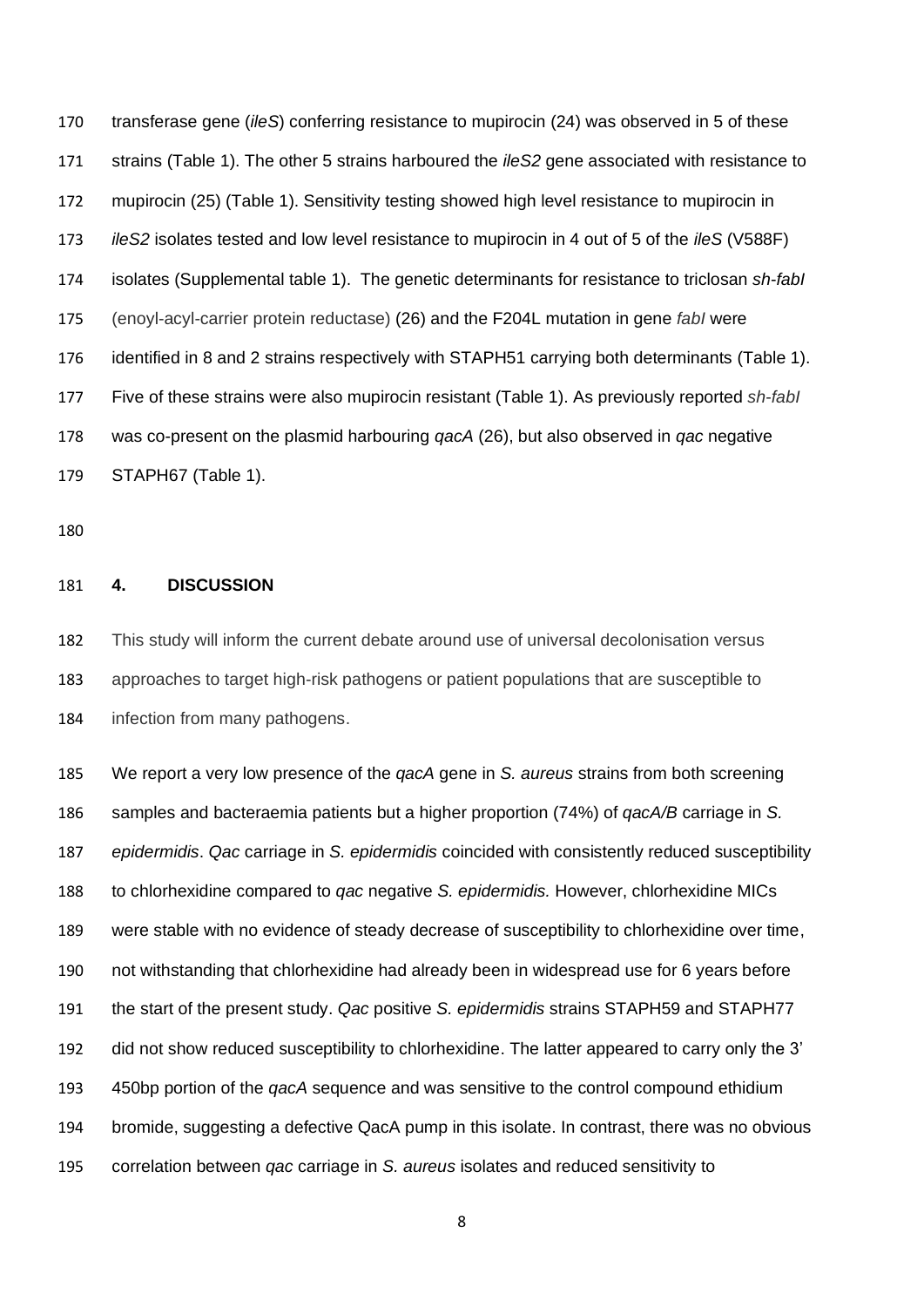transferase gene (*ileS*) conferring resistance to mupirocin (24) was observed in 5 of these strains (Table 1). The other 5 strains harboured the *ileS2* gene associated with resistance to mupirocin (25) (Table 1). Sensitivity testing showed high level resistance to mupirocin in *ileS2* isolates tested and low level resistance to mupirocin in 4 out of 5 of the *ileS* (V588F) isolates (Supplemental table 1). The genetic determinants for resistance to triclosan *sh*-*fabI* (enoyl-acyl-carrier protein reductase) (26) and the F204L mutation in gene *fabI* were identified in 8 and 2 strains respectively with STAPH51 carrying both determinants (Table 1). Five of these strains were also mupirocin resistant (Table 1). As previously reported *sh*-*fabI* was co-present on the plasmid harbouring *qacA* (26), but also observed in *qac* negative STAPH67 (Table 1).

## **4. DISCUSSION**

 This study will inform the current debate around use of universal decolonisation versus approaches to target high-risk pathogens or patient populations that are susceptible to infection from many pathogens.

 We report a very low presence of the *qacA* gene in *S. aureus* strains from both screening samples and bacteraemia patients but a higher proportion (74%) of *qacA/B* carriage in *S. epidermidis*. *Qac* carriage in *S. epidermidis* coincided with consistently reduced susceptibility to chlorhexidine compared to *qac* negative *S. epidermidis.* However, chlorhexidine MICs were stable with no evidence of steady decrease of susceptibility to chlorhexidine over time, not withstanding that chlorhexidine had already been in widespread use for 6 years before the start of the present study. *Qac* positive *S. epidermidis* strains STAPH59 and STAPH77 did not show reduced susceptibility to chlorhexidine. The latter appeared to carry only the 3' 450bp portion of the *qacA* sequence and was sensitive to the control compound ethidium bromide, suggesting a defective QacA pump in this isolate. In contrast, there was no obvious correlation between *qac* carriage in *S. aureus* isolates and reduced sensitivity to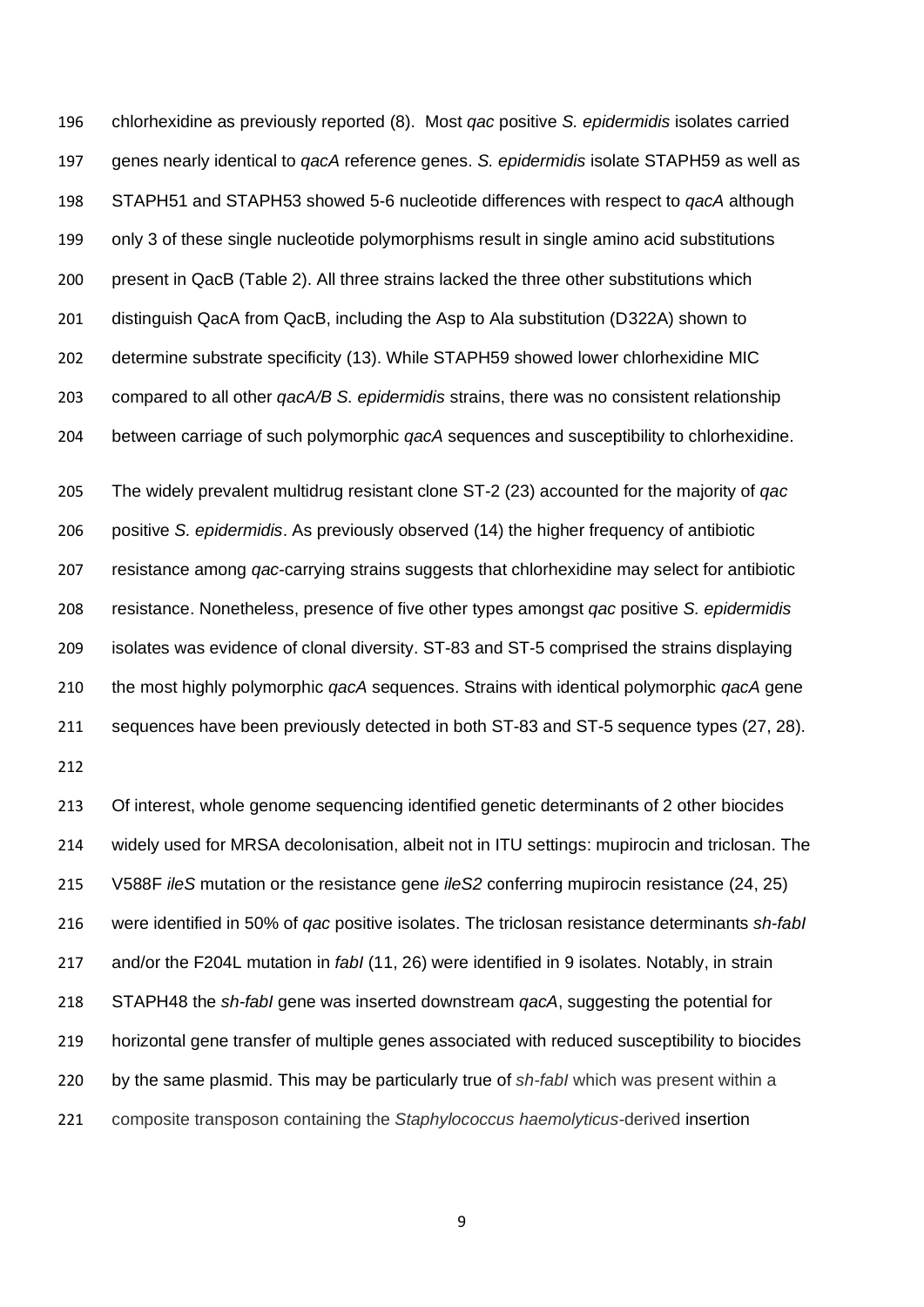chlorhexidine as previously reported (8). Most *qac* positive *S. epidermidis* isolates carried genes nearly identical to *qacA* reference genes. *S. epidermidis* isolate STAPH59 as well as STAPH51 and STAPH53 showed 5-6 nucleotide differences with respect to *qacA* although only 3 of these single nucleotide polymorphisms result in single amino acid substitutions present in QacB (Table 2). All three strains lacked the three other substitutions which distinguish QacA from QacB, including the Asp to Ala substitution (D322A) shown to determine substrate specificity (13). While STAPH59 showed lower chlorhexidine MIC compared to all other *qacA/B S. epidermidis* strains, there was no consistent relationship between carriage of such polymorphic *qacA* sequences and susceptibility to chlorhexidine.

 The widely prevalent multidrug resistant clone ST-2 (23) accounted for the majority of *qac* positive *S. epidermidis*. As previously observed (14) the higher frequency of antibiotic resistance among *qac*-carrying strains suggests that chlorhexidine may select for antibiotic resistance. Nonetheless, presence of five other types amongst *qac* positive *S. epidermidis* isolates was evidence of clonal diversity. ST-83 and ST-5 comprised the strains displaying the most highly polymorphic *qacA* sequences. Strains with identical polymorphic *qacA* gene sequences have been previously detected in both ST-83 and ST-5 sequence types (27, 28).

 Of interest, whole genome sequencing identified genetic determinants of 2 other biocides widely used for MRSA decolonisation, albeit not in ITU settings: mupirocin and triclosan. The V588F *ileS* mutation or the resistance gene *ileS2* conferring mupirocin resistance (24, 25) were identified in 50% of *qac* positive isolates. The triclosan resistance determinants *sh*-*fabI* and/or the F204L mutation in *fabI* (11, 26) were identified in 9 isolates. Notably, in strain STAPH48 the *sh-fabI* gene was inserted downstream *qacA*, suggesting the potential for horizontal gene transfer of multiple genes associated with reduced susceptibility to biocides by the same plasmid. This may be particularly true of *sh*-*fabI* which was present within a composite transposon containing the *Staphylococcus haemolyticus*-derived insertion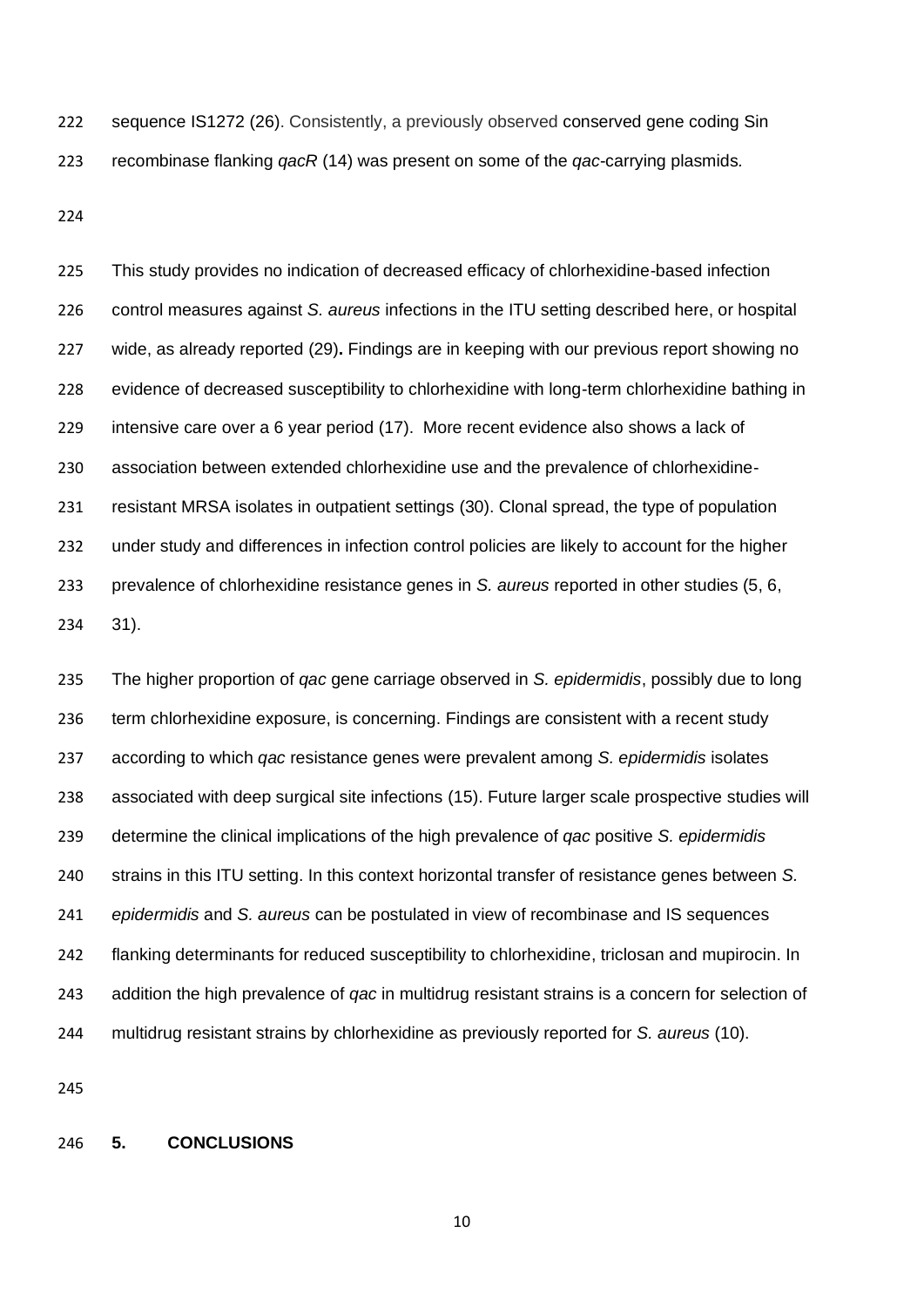sequence IS1272 (26). Consistently, a previously observed conserved gene coding Sin recombinase flanking *qacR* (14) was present on some of the *qac*-carrying plasmids*.*

 This study provides no indication of decreased efficacy of chlorhexidine-based infection control measures against *S. aureus* infections in the ITU setting described here, or hospital wide, as already reported (29)**.** Findings are in keeping with our previous report showing no evidence of decreased susceptibility to chlorhexidine with long-term chlorhexidine bathing in intensive care over a 6 year period (17). More recent evidence also shows a lack of association between extended chlorhexidine use and the prevalence of chlorhexidine- resistant MRSA isolates in outpatient settings (30). Clonal spread, the type of population under study and differences in infection control policies are likely to account for the higher prevalence of chlorhexidine resistance genes in *S. aureus* reported in other studies (5, 6, 31).

 The higher proportion of *qac* gene carriage observed in *S. epidermidis*, possibly due to long term chlorhexidine exposure, is concerning. Findings are consistent with a recent study according to which *qac* resistance genes were prevalent among *S. epidermidis* isolates associated with deep surgical site infections (15). Future larger scale prospective studies will determine the clinical implications of the high prevalence of *qac* positive *S. epidermidis* strains in this ITU setting. In this context horizontal transfer of resistance genes between *S. epidermidis* and *S. aureus* can be postulated in view of recombinase and IS sequences flanking determinants for reduced susceptibility to chlorhexidine, triclosan and mupirocin. In addition the high prevalence of *qac* in multidrug resistant strains is a concern for selection of multidrug resistant strains by chlorhexidine as previously reported for *S. aureus* (10).

### **5. CONCLUSIONS**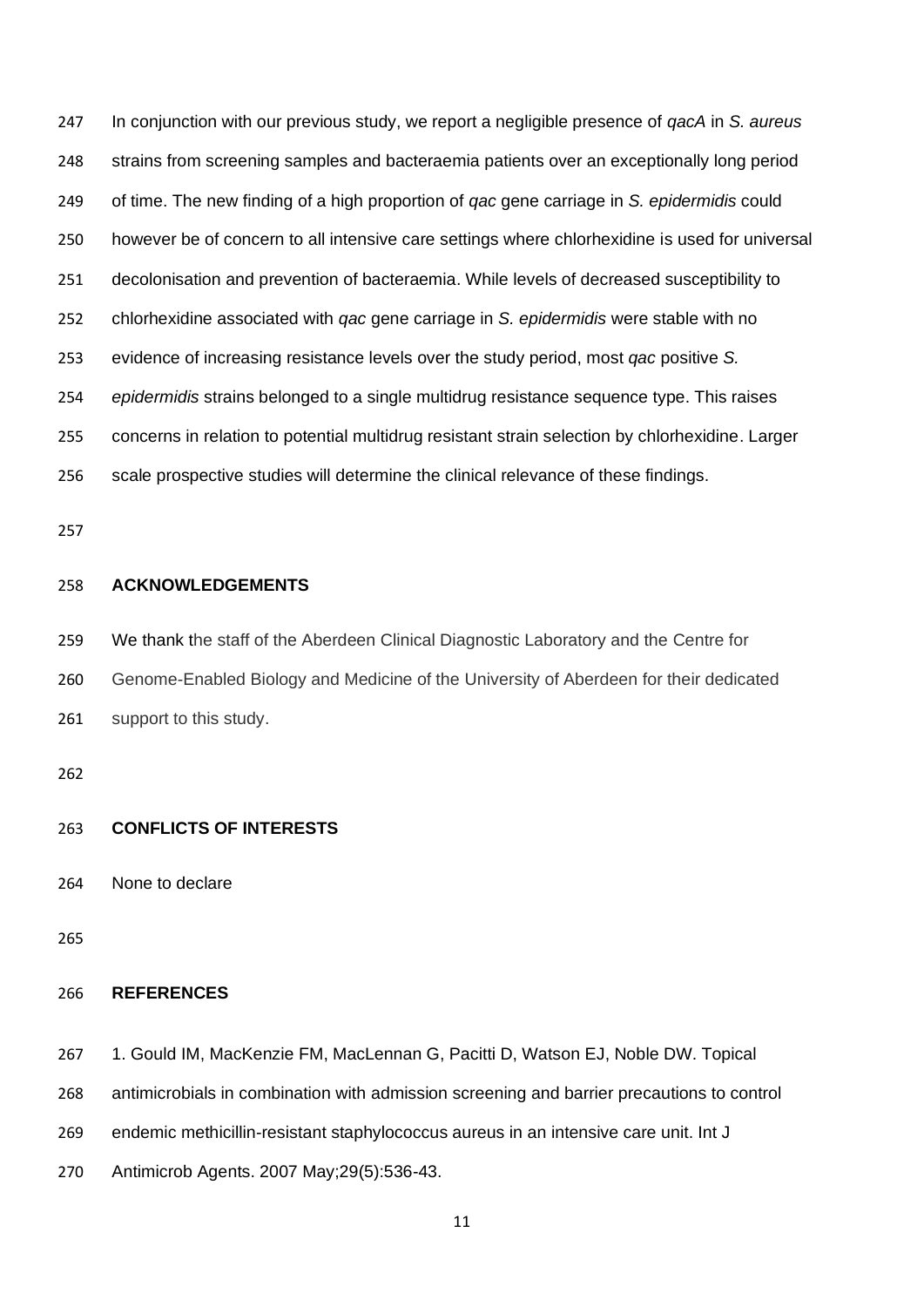In conjunction with our previous study, we report a negligible presence of *qacA* in *S. aureus* strains from screening samples and bacteraemia patients over an exceptionally long period of time. The new finding of a high proportion of *qac* gene carriage in *S. epidermidis* could however be of concern to all intensive care settings where chlorhexidine is used for universal decolonisation and prevention of bacteraemia. While levels of decreased susceptibility to chlorhexidine associated with *qac* gene carriage in *S. epidermidis* were stable with no evidence of increasing resistance levels over the study period, most *qac* positive *S. epidermidis* strains belonged to a single multidrug resistance sequence type. This raises concerns in relation to potential multidrug resistant strain selection by chlorhexidine. Larger scale prospective studies will determine the clinical relevance of these findings.

# **ACKNOWLEDGEMENTS**

 We thank the staff of the Aberdeen Clinical Diagnostic Laboratory and the Centre for Genome-Enabled Biology and Medicine of the University of Aberdeen for their dedicated support to this study.

### **CONFLICTS OF INTERESTS**

None to declare

## **REFERENCES**

1. Gould IM, MacKenzie FM, MacLennan G, Pacitti D, Watson EJ, Noble DW. Topical

antimicrobials in combination with admission screening and barrier precautions to control

- endemic methicillin-resistant staphylococcus aureus in an intensive care unit. Int J
- Antimicrob Agents. 2007 May;29(5):536-43.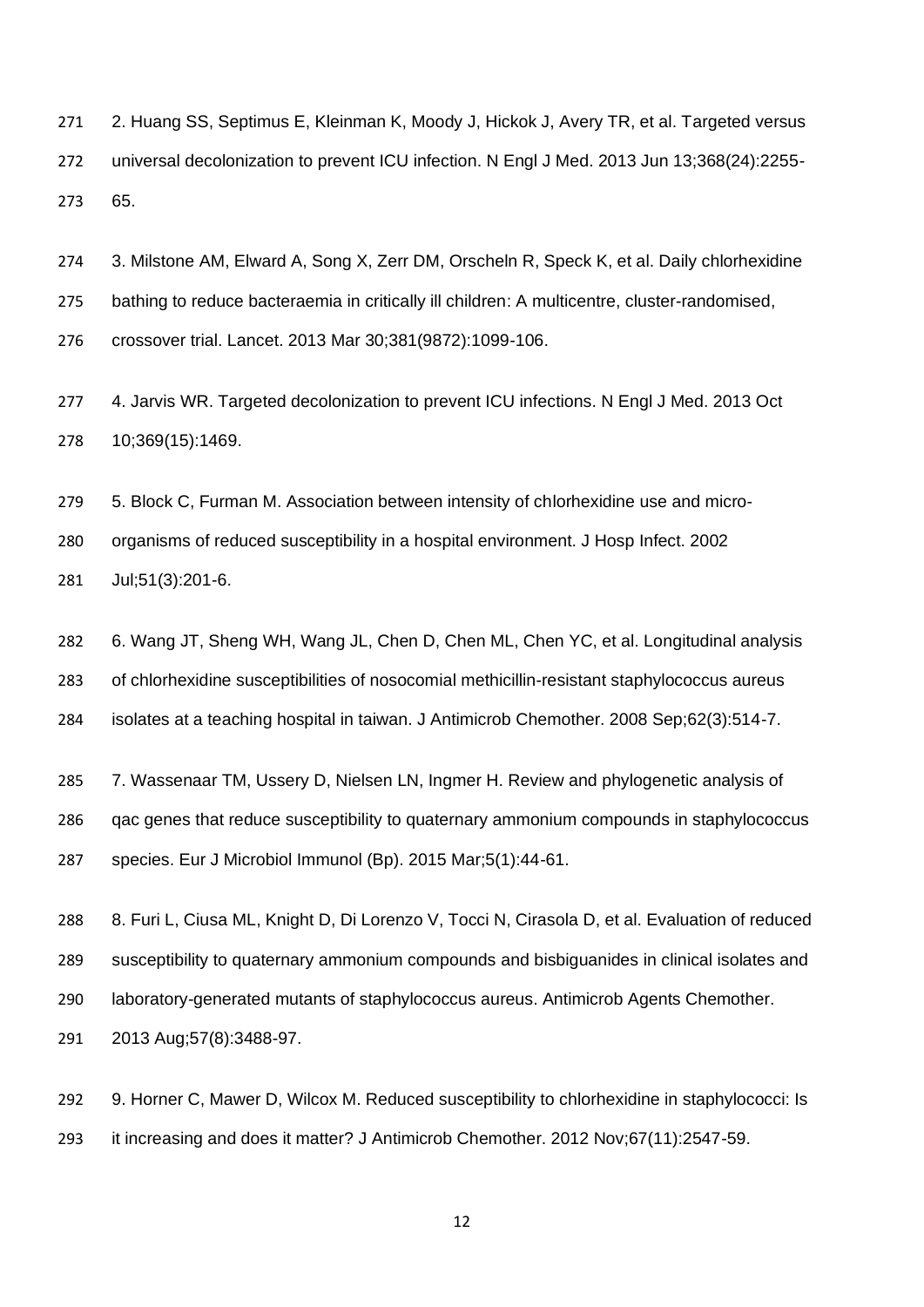2. Huang SS, Septimus E, Kleinman K, Moody J, Hickok J, Avery TR, et al. Targeted versus universal decolonization to prevent ICU infection. N Engl J Med. 2013 Jun 13;368(24):2255- 65.

 3. Milstone AM, Elward A, Song X, Zerr DM, Orscheln R, Speck K, et al. Daily chlorhexidine bathing to reduce bacteraemia in critically ill children: A multicentre, cluster-randomised, crossover trial. Lancet. 2013 Mar 30;381(9872):1099-106.

 4. Jarvis WR. Targeted decolonization to prevent ICU infections. N Engl J Med. 2013 Oct 10;369(15):1469.

 5. Block C, Furman M. Association between intensity of chlorhexidine use and micro- organisms of reduced susceptibility in a hospital environment. J Hosp Infect. 2002 Jul;51(3):201-6.

 6. Wang JT, Sheng WH, Wang JL, Chen D, Chen ML, Chen YC, et al. Longitudinal analysis of chlorhexidine susceptibilities of nosocomial methicillin-resistant staphylococcus aureus isolates at a teaching hospital in taiwan. J Antimicrob Chemother. 2008 Sep;62(3):514-7.

 7. Wassenaar TM, Ussery D, Nielsen LN, Ingmer H. Review and phylogenetic analysis of qac genes that reduce susceptibility to quaternary ammonium compounds in staphylococcus species. Eur J Microbiol Immunol (Bp). 2015 Mar;5(1):44-61.

288 8. Furi L, Ciusa ML, Knight D, Di Lorenzo V, Tocci N, Cirasola D, et al. Evaluation of reduced susceptibility to quaternary ammonium compounds and bisbiguanides in clinical isolates and laboratory-generated mutants of staphylococcus aureus. Antimicrob Agents Chemother. 2013 Aug;57(8):3488-97.

 9. Horner C, Mawer D, Wilcox M. Reduced susceptibility to chlorhexidine in staphylococci: Is it increasing and does it matter? J Antimicrob Chemother. 2012 Nov;67(11):2547-59.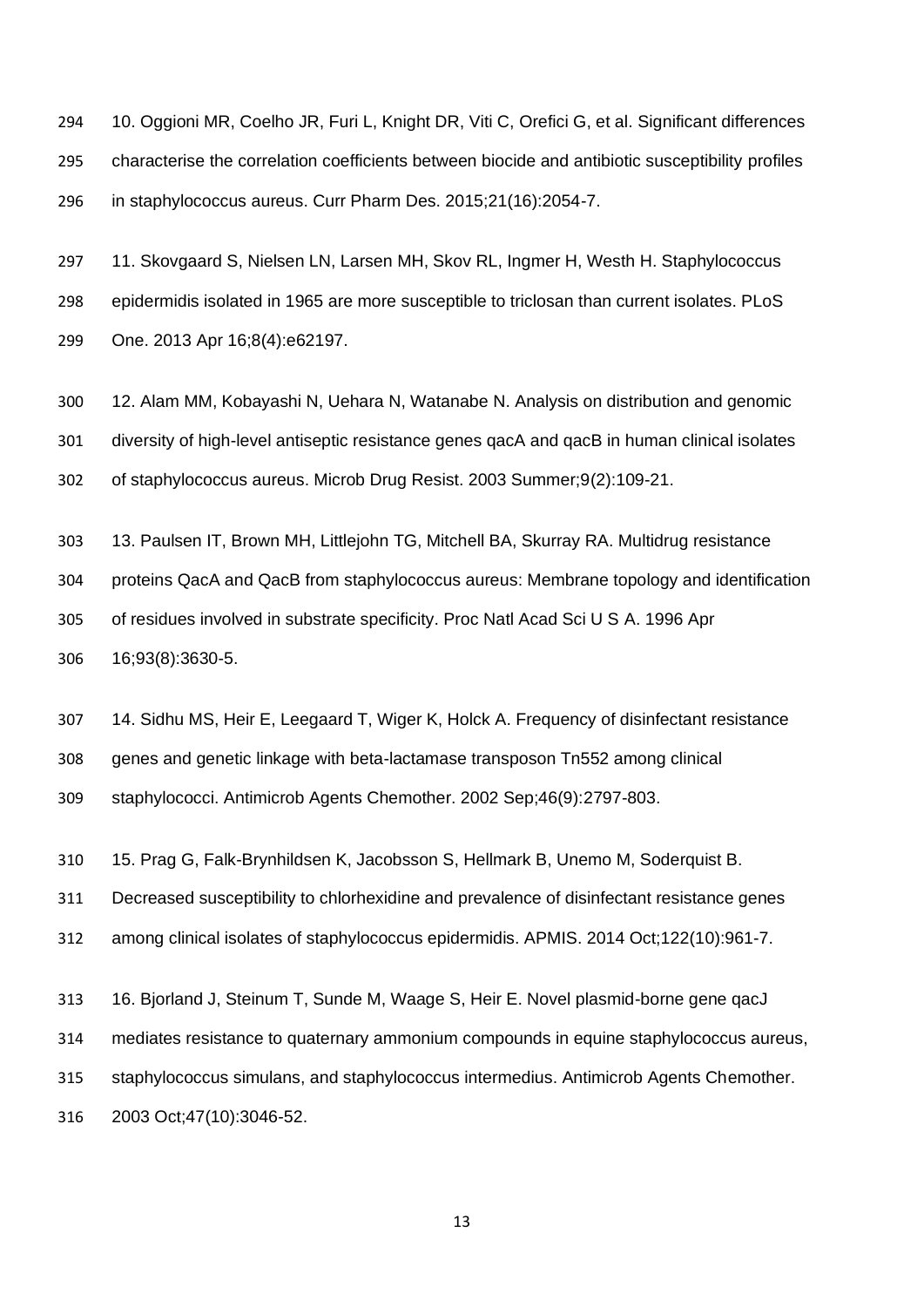10. Oggioni MR, Coelho JR, Furi L, Knight DR, Viti C, Orefici G, et al. Significant differences characterise the correlation coefficients between biocide and antibiotic susceptibility profiles in staphylococcus aureus. Curr Pharm Des. 2015;21(16):2054-7.

 11. Skovgaard S, Nielsen LN, Larsen MH, Skov RL, Ingmer H, Westh H. Staphylococcus epidermidis isolated in 1965 are more susceptible to triclosan than current isolates. PLoS One. 2013 Apr 16;8(4):e62197.

 12. Alam MM, Kobayashi N, Uehara N, Watanabe N. Analysis on distribution and genomic diversity of high-level antiseptic resistance genes qacA and qacB in human clinical isolates of staphylococcus aureus. Microb Drug Resist. 2003 Summer;9(2):109-21.

13. Paulsen IT, Brown MH, Littlejohn TG, Mitchell BA, Skurray RA. Multidrug resistance

 proteins QacA and QacB from staphylococcus aureus: Membrane topology and identification of residues involved in substrate specificity. Proc Natl Acad Sci U S A. 1996 Apr 16;93(8):3630-5.

 14. Sidhu MS, Heir E, Leegaard T, Wiger K, Holck A. Frequency of disinfectant resistance genes and genetic linkage with beta-lactamase transposon Tn552 among clinical staphylococci. Antimicrob Agents Chemother. 2002 Sep;46(9):2797-803.

15. Prag G, Falk-Brynhildsen K, Jacobsson S, Hellmark B, Unemo M, Soderquist B.

Decreased susceptibility to chlorhexidine and prevalence of disinfectant resistance genes

among clinical isolates of staphylococcus epidermidis. APMIS. 2014 Oct;122(10):961-7.

16. Bjorland J, Steinum T, Sunde M, Waage S, Heir E. Novel plasmid-borne gene qacJ

mediates resistance to quaternary ammonium compounds in equine staphylococcus aureus,

staphylococcus simulans, and staphylococcus intermedius. Antimicrob Agents Chemother.

2003 Oct;47(10):3046-52.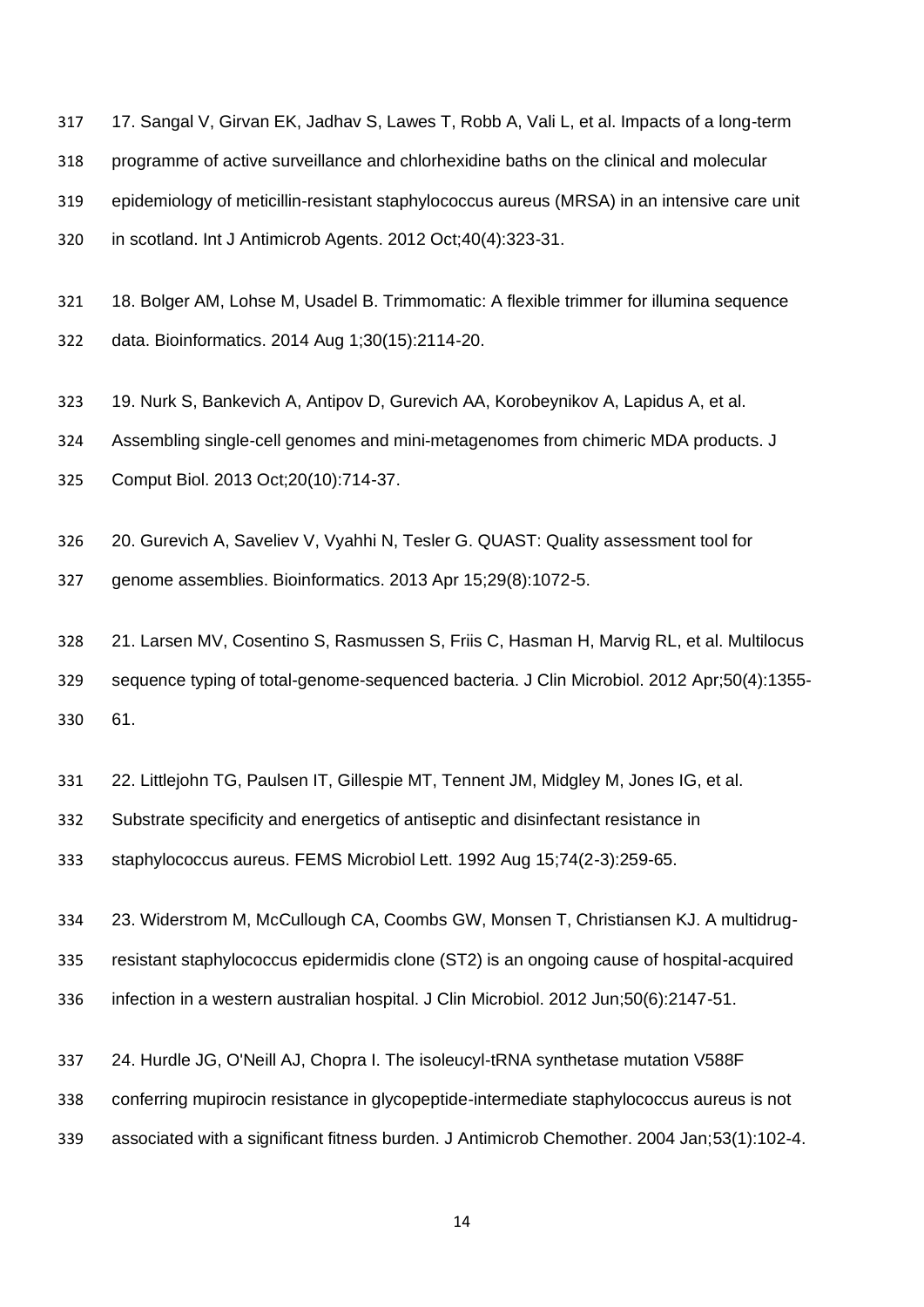317 17. Sangal V, Girvan EK, Jadhav S, Lawes T, Robb A, Vali L, et al. Impacts of a long-term programme of active surveillance and chlorhexidine baths on the clinical and molecular epidemiology of meticillin-resistant staphylococcus aureus (MRSA) in an intensive care unit in scotland. Int J Antimicrob Agents. 2012 Oct;40(4):323-31.

 18. Bolger AM, Lohse M, Usadel B. Trimmomatic: A flexible trimmer for illumina sequence data. Bioinformatics. 2014 Aug 1;30(15):2114-20.

19. Nurk S, Bankevich A, Antipov D, Gurevich AA, Korobeynikov A, Lapidus A, et al.

Assembling single-cell genomes and mini-metagenomes from chimeric MDA products. J

Comput Biol. 2013 Oct;20(10):714-37.

20. Gurevich A, Saveliev V, Vyahhi N, Tesler G. QUAST: Quality assessment tool for

genome assemblies. Bioinformatics. 2013 Apr 15;29(8):1072-5.

 21. Larsen MV, Cosentino S, Rasmussen S, Friis C, Hasman H, Marvig RL, et al. Multilocus sequence typing of total-genome-sequenced bacteria. J Clin Microbiol. 2012 Apr;50(4):1355- 61.

22. Littlejohn TG, Paulsen IT, Gillespie MT, Tennent JM, Midgley M, Jones IG, et al.

Substrate specificity and energetics of antiseptic and disinfectant resistance in

staphylococcus aureus. FEMS Microbiol Lett. 1992 Aug 15;74(2-3):259-65.

23. Widerstrom M, McCullough CA, Coombs GW, Monsen T, Christiansen KJ. A multidrug-

resistant staphylococcus epidermidis clone (ST2) is an ongoing cause of hospital-acquired

infection in a western australian hospital. J Clin Microbiol. 2012 Jun;50(6):2147-51.

24. Hurdle JG, O'Neill AJ, Chopra I. The isoleucyl-tRNA synthetase mutation V588F

conferring mupirocin resistance in glycopeptide-intermediate staphylococcus aureus is not

associated with a significant fitness burden. J Antimicrob Chemother. 2004 Jan;53(1):102-4.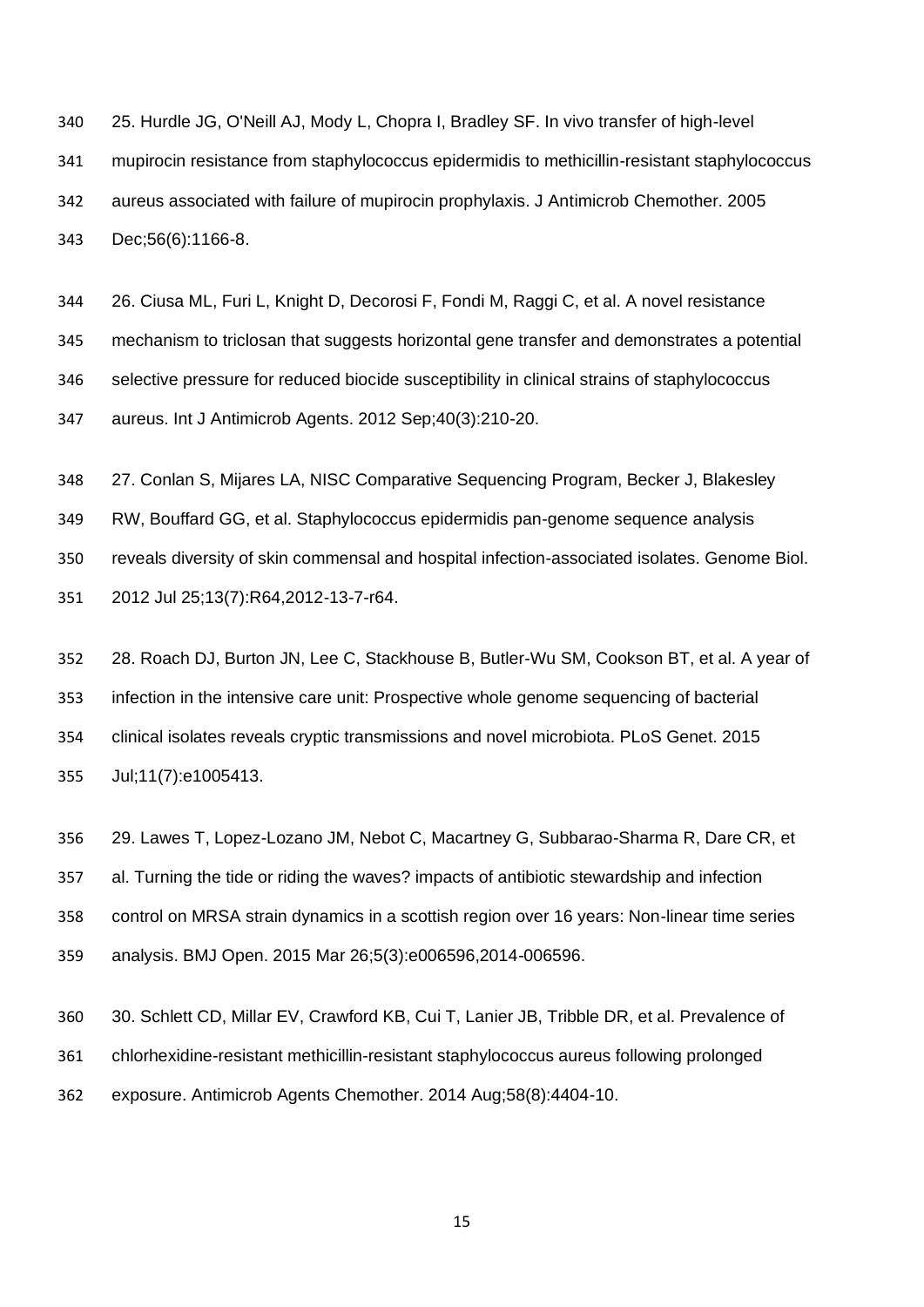25. Hurdle JG, O'Neill AJ, Mody L, Chopra I, Bradley SF. In vivo transfer of high-level mupirocin resistance from staphylococcus epidermidis to methicillin-resistant staphylococcus aureus associated with failure of mupirocin prophylaxis. J Antimicrob Chemother. 2005 Dec;56(6):1166-8.

 26. Ciusa ML, Furi L, Knight D, Decorosi F, Fondi M, Raggi C, et al. A novel resistance mechanism to triclosan that suggests horizontal gene transfer and demonstrates a potential selective pressure for reduced biocide susceptibility in clinical strains of staphylococcus aureus. Int J Antimicrob Agents. 2012 Sep;40(3):210-20.

 27. Conlan S, Mijares LA, NISC Comparative Sequencing Program, Becker J, Blakesley RW, Bouffard GG, et al. Staphylococcus epidermidis pan-genome sequence analysis reveals diversity of skin commensal and hospital infection-associated isolates. Genome Biol. 2012 Jul 25;13(7):R64,2012-13-7-r64.

 28. Roach DJ, Burton JN, Lee C, Stackhouse B, Butler-Wu SM, Cookson BT, et al. A year of infection in the intensive care unit: Prospective whole genome sequencing of bacterial clinical isolates reveals cryptic transmissions and novel microbiota. PLoS Genet. 2015 Jul;11(7):e1005413.

 29. Lawes T, Lopez-Lozano JM, Nebot C, Macartney G, Subbarao-Sharma R, Dare CR, et al. Turning the tide or riding the waves? impacts of antibiotic stewardship and infection control on MRSA strain dynamics in a scottish region over 16 years: Non-linear time series analysis. BMJ Open. 2015 Mar 26;5(3):e006596,2014-006596.

 30. Schlett CD, Millar EV, Crawford KB, Cui T, Lanier JB, Tribble DR, et al. Prevalence of chlorhexidine-resistant methicillin-resistant staphylococcus aureus following prolonged exposure. Antimicrob Agents Chemother. 2014 Aug;58(8):4404-10.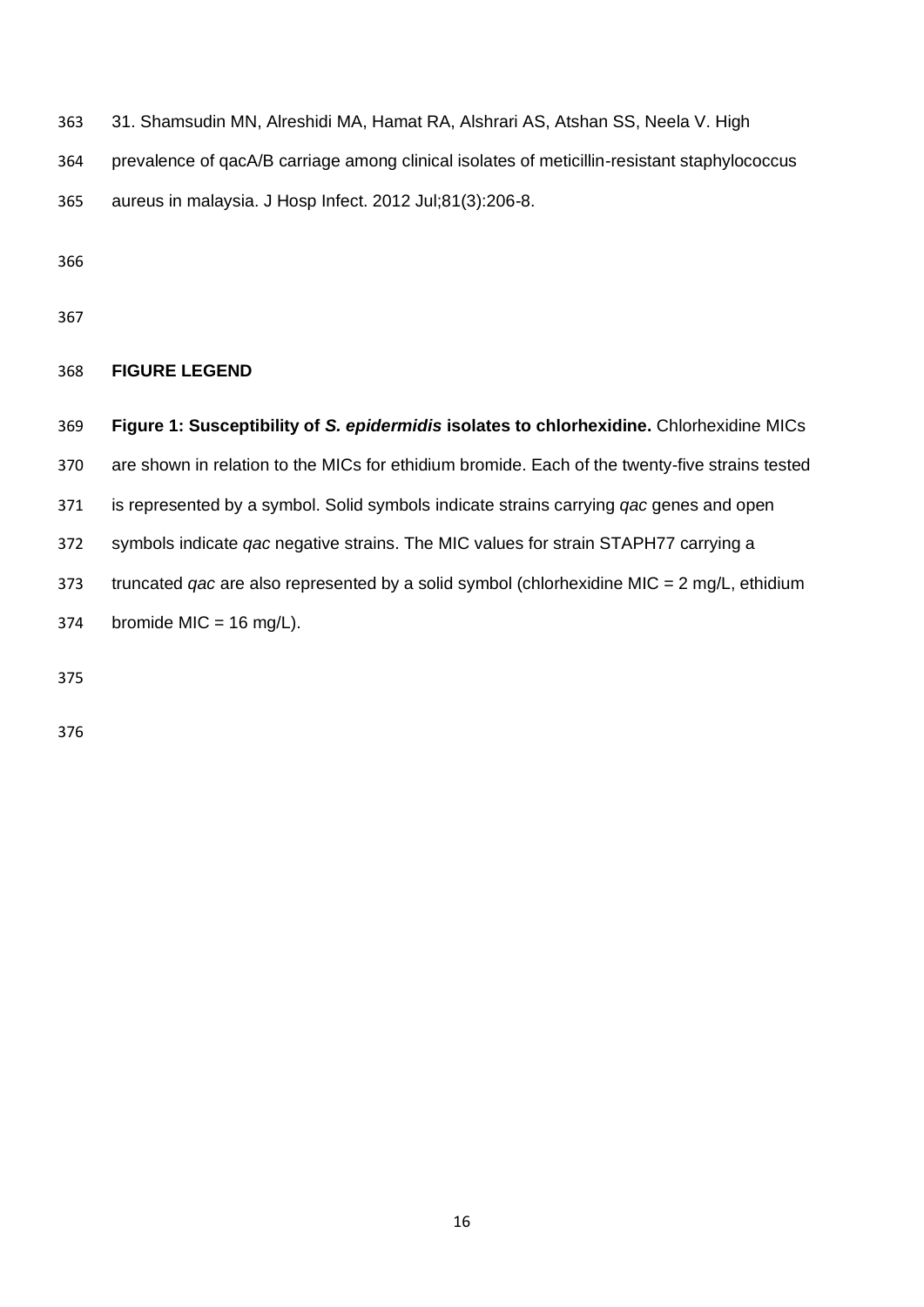31. Shamsudin MN, Alreshidi MA, Hamat RA, Alshrari AS, Atshan SS, Neela V. High

prevalence of qacA/B carriage among clinical isolates of meticillin-resistant staphylococcus

aureus in malaysia. J Hosp Infect. 2012 Jul;81(3):206-8.

# **FIGURE LEGEND**

 **Figure 1: Susceptibility of** *S. epidermidis* **isolates to chlorhexidine.** Chlorhexidine MICs are shown in relation to the MICs for ethidium bromide. Each of the twenty-five strains tested is represented by a symbol. Solid symbols indicate strains carrying *qac* genes and open symbols indicate *qac* negative strains. The MIC values for strain STAPH77 carrying a truncated *qac* are also represented by a solid symbol (chlorhexidine MIC = 2 mg/L, ethidium 374 bromide MIC =  $16 \text{ mg/L}$ .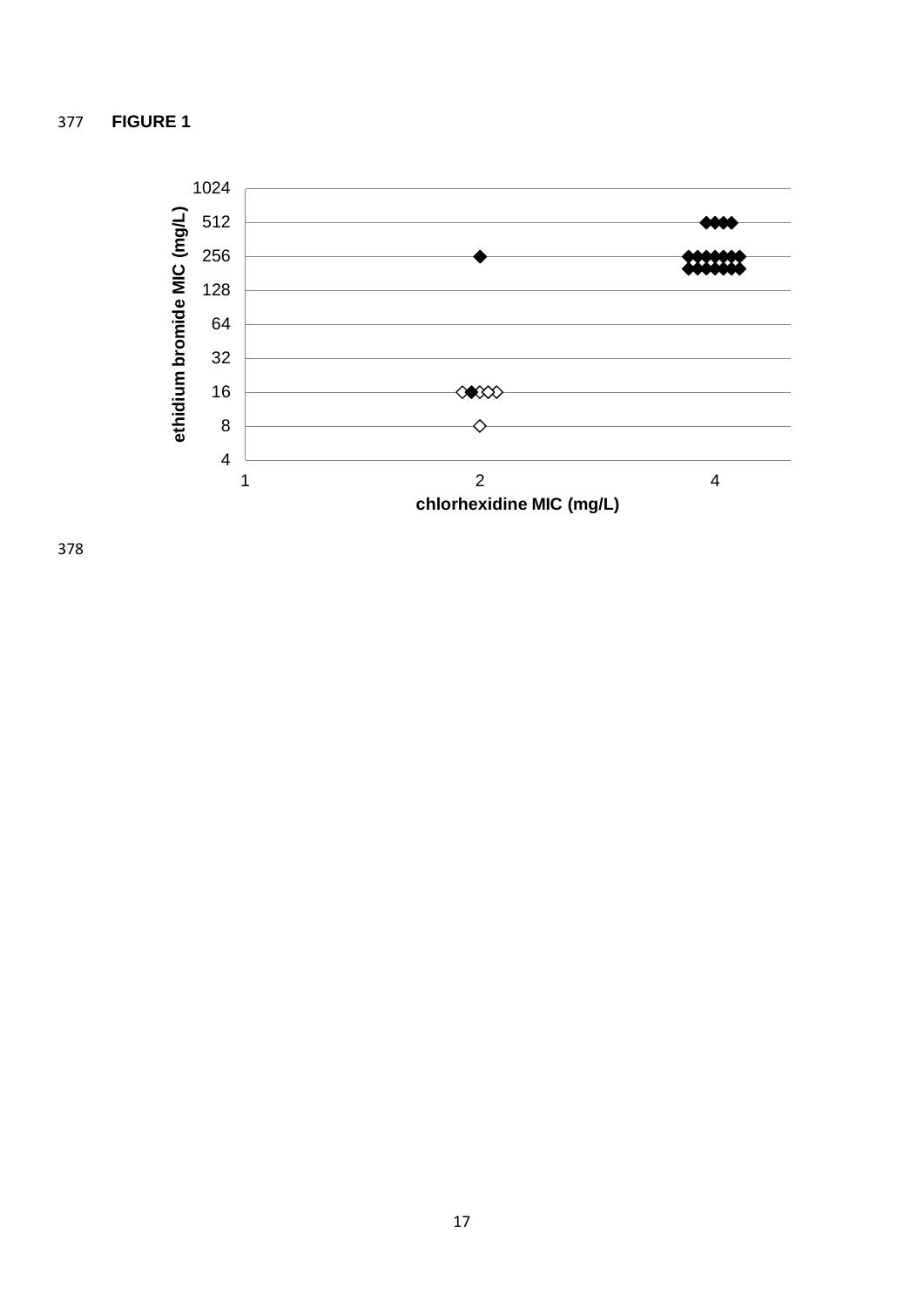# **FIGURE 1**

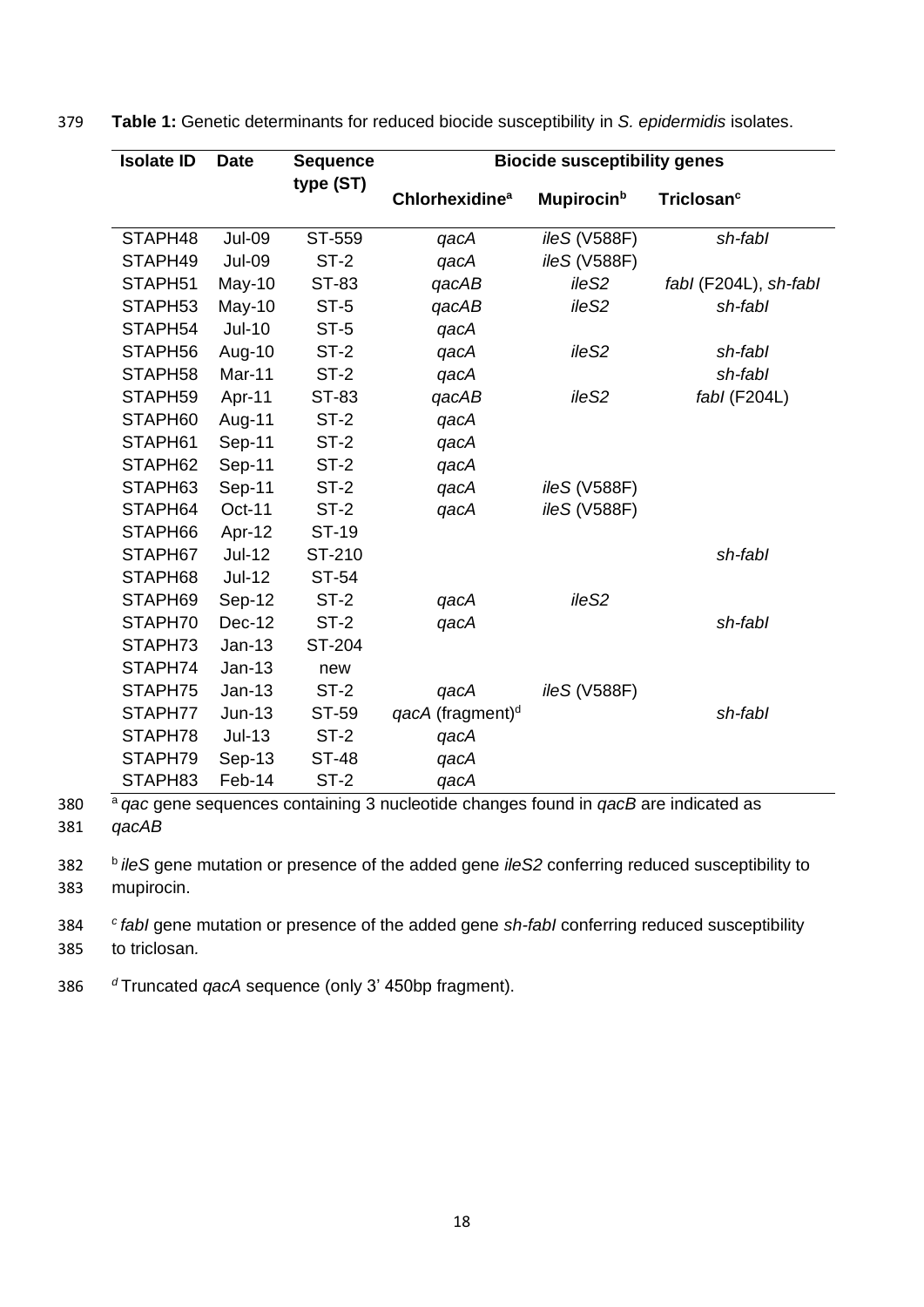| <b>Isolate ID</b> | <b>Date</b>   | <b>Sequence</b> | <b>Biocide susceptibility genes</b> |                     |                        |  |
|-------------------|---------------|-----------------|-------------------------------------|---------------------|------------------------|--|
|                   |               | type (ST)       | Chlorhexidine <sup>a</sup>          | <b>Mupirocin</b> b  | Triclosan <sup>c</sup> |  |
| STAPH48           | <b>Jul-09</b> | ST-559          | qacA                                | ileS (V588F)        | sh-fabl                |  |
| STAPH49           | <b>Jul-09</b> | $ST-2$          | qacA                                | <i>ileS</i> (V588F) |                        |  |
| STAPH51           | May-10        | ST-83           | qacAB                               | ile <sub>S2</sub>   | fabl (F204L), sh-fabl  |  |
| STAPH53           | May-10        | ST-5            | qacAB                               | ile <sub>S2</sub>   | sh-fabl                |  |
| STAPH54           | <b>Jul-10</b> | $ST-5$          | qacA                                |                     |                        |  |
| STAPH56           | Aug-10        | ST-2            | qacA                                | ileS2               | sh-fabl                |  |
| STAPH58           | Mar-11        | $ST-2$          | qacA                                |                     | sh-fabl                |  |
| STAPH59           | Apr-11        | ST-83           | qacAB                               | ile <sub>S2</sub>   | $fabI$ (F204L)         |  |
| STAPH60           | Aug-11        | $ST-2$          | qacA                                |                     |                        |  |
| STAPH61           | Sep-11        | $ST-2$          | qacA                                |                     |                        |  |
| STAPH62           | Sep-11        | ST-2            | qacA                                |                     |                        |  |
| STAPH63           | Sep-11        | $ST-2$          | qacA                                | ileS (V588F)        |                        |  |
| STAPH64           | Oct-11        | $ST-2$          | qacA                                | ileS (V588F)        |                        |  |
| STAPH66           | Apr-12        | ST-19           |                                     |                     |                        |  |
| STAPH67           | <b>Jul-12</b> | ST-210          |                                     |                     | sh-fabl                |  |
| STAPH68           | $Jul-12$      | ST-54           |                                     |                     |                        |  |
| STAPH69           | Sep-12        | $ST-2$          | qacA                                | ile <sub>S2</sub>   |                        |  |
| STAPH70           | Dec-12        | $ST-2$          | qacA                                |                     | sh-fabl                |  |
| STAPH73           | $Jan-13$      | ST-204          |                                     |                     |                        |  |
| STAPH74           | $Jan-13$      | new             |                                     |                     |                        |  |
| STAPH75           | Jan-13        | ST-2            | qacA                                | ileS (V588F)        |                        |  |

379 **Table 1:** Genetic determinants for reduced biocide susceptibility in *S. epidermidis* isolates.

<sup>a</sup> 380 *qac* gene sequences containing 3 nucleotide changes found in *qacB* are indicated as 381 *qacAB*

<sup>b</sup> 382 *ileS* gene mutation or presence of the added gene *ileS2* conferring reduced susceptibility to 383 mupirocin.

STAPH77 Jun-13 ST-59 *qacA* (fragment)<sup>d</sup> *sh-fabl* 

*<sup>c</sup>* 384 *fabI* gene mutation or presence of the added gene *sh-fabI* conferring reduced susceptibility 385 to triclosan*.*

386 <sup>*d*</sup> Truncated *qacA* sequence (only 3' 450bp fragment).

STAPH78 Jul-13 ST-2 *qacA* STAPH79 Sep-13 ST-48 *qacA* STAPH83 Feb-14 ST-2 *qacA*